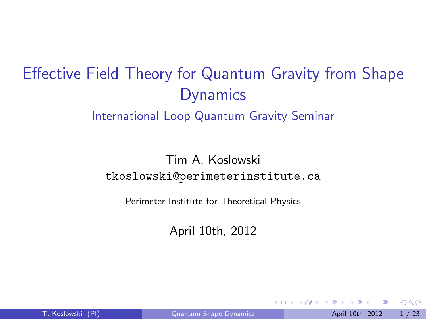# Effective Field Theory for Quantum Gravity from Shape **Dynamics**

#### International Loop Quantum Gravity Seminar

#### Tim A. Koslowski tkoslowski@perimeterinstitute.ca

Perimeter Institute for Theoretical Physics

<span id="page-0-0"></span>April 10th, 2012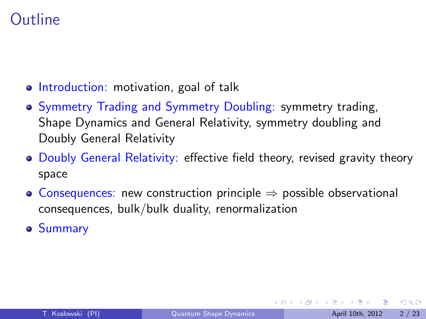## **Outline**

- Introduction: motivation, goal of talk
- Symmetry Trading and Symmetry Doubling: symmetry trading, Shape Dynamics and General Relativity, symmetry doubling and Doubly General Relativity
- **Doubly General Relativity: effective field theory, revised gravity theory** space
- Consequences: new construction principle  $\Rightarrow$  possible observational consequences, bulk/bulk duality, renormalization
- **Summary**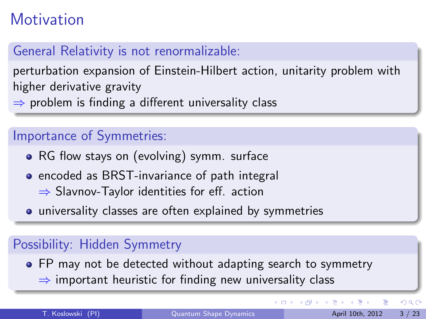## **Motivation**

## General Relativity is not renormalizable:

perturbation expansion of Einstein-Hilbert action, unitarity problem with higher derivative gravity

 $\Rightarrow$  problem is finding a different universality class

#### Importance of Symmetries:

- RG flow stays on (evolving) symm. surface
- **•** encoded as BRST-invariance of path integral
	- ⇒ Slavnov-Taylor identities for eff. action
- universality classes are often explained by symmetries

## Possibility: Hidden Symmetry

• FP may not be detected without adapting search to symmetry  $\Rightarrow$  important heuristic for finding new universality class

画

 $QQ$ 

 $\left\{ \begin{array}{ccc} 1 & 0 & 0 \\ 0 & 1 & 0 \end{array} \right.$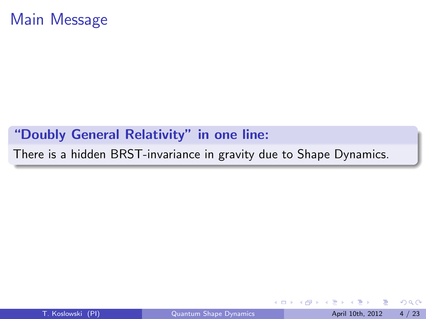#### "Doubly General Relativity" in one line:

There is a hidden BRST-invariance in gravity due to Shape Dynamics.

画

**Biskin**  $\equiv$ 

4 0 8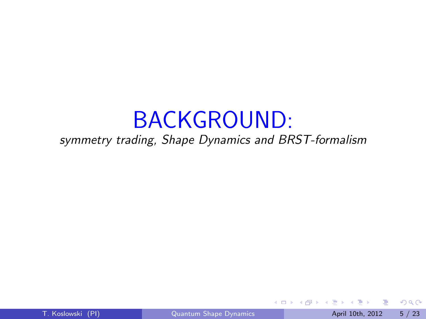# BACKGROUND:

#### symmetry trading, Shape Dynamics and BRST-formalism

4 日下

ÆP ⊳

T. Koslowski (PI) **C**uantum Shape Dynamics **April 10th, 2012** 5 / 23

画

医前头面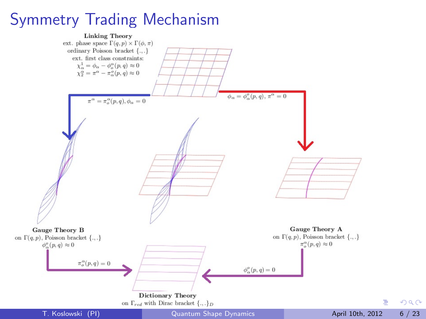## Symmetry Trading Mechanism

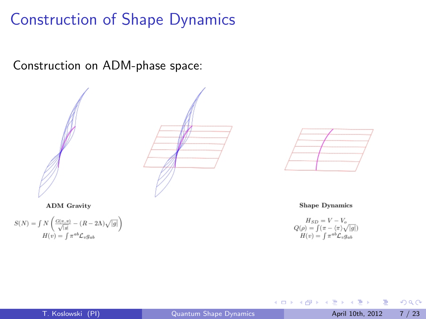## Construction of Shape Dynamics

Construction on ADM-phase space:





**ADM** Gravity

$$
\begin{split} S(N) &= \smallint N \left( \frac{G(\pi,\pi)}{\sqrt{|g|}} - (R - 2 \Lambda) \sqrt{|g|} \right) \\ H(v) &= \smallint \pi^{ab} \mathcal{L}_v g_{ab} \end{split}
$$

**Shape Dynamics** 

$$
H_{SD} = V - V_o
$$
  
 
$$
Q(\rho) = \int (\pi - \langle \pi \rangle \sqrt{|g|})
$$
  
 
$$
H(v) = \int \pi^{ab} \mathcal{L}_v g_{ab}
$$

4 日下

Þ

舌

 $\mathcal{A}$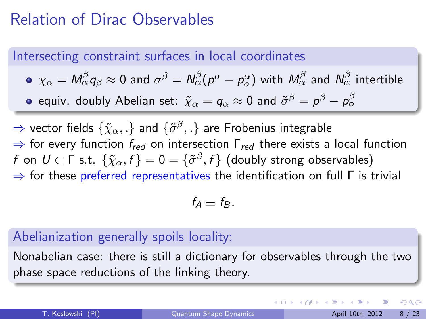## Relation of Dirac Observables

Intersecting constraint surfaces in local coordinates

\n- \n
$$
\chi_{\alpha} = M_{\alpha}^{\beta} q_{\beta} \approx 0
$$
\n and\n  $\sigma^{\beta} = N_{\alpha}^{\beta} (p^{\alpha} - p^{\alpha})$ \n with\n  $M_{\alpha}^{\beta}$ \n and\n  $N_{\alpha}^{\beta}$ \n intertible\n
\n- \n $\chi_{\alpha} = q_{\alpha} \approx 0$ \n and\n  $\tilde{\sigma}^{\beta} = p^{\beta} - p^{\beta} - p^{\beta}$ \n
\n

 $\Rightarrow$  vector fields  $\{\tilde{\chi}_{\alpha},.\}$  and  $\{\tilde{\sigma}^{\beta},.\}$  are Frobenius integrable  $\Rightarrow$  for every function  $f_{red}$  on intersection  $\Gamma_{red}$  there exists a local function  $f$  on  $U\subset \mathsf{\Gamma}$  s.t.  $\{\tilde{\chi}_\alpha,f\}=0=\{\tilde{\sigma}^\beta,f\}$  (doubly strong observables)  $\Rightarrow$  for these preferred representatives the identification on full  $\Gamma$  is trivial

$$
f_A \equiv f_B.
$$

#### Abelianization generally spoils locality:

Nonabelian case: there is still a dictionary for observables through the two phase space reductions of the linking theory.

 $200$ 

イロト イ押ト イヨト イヨト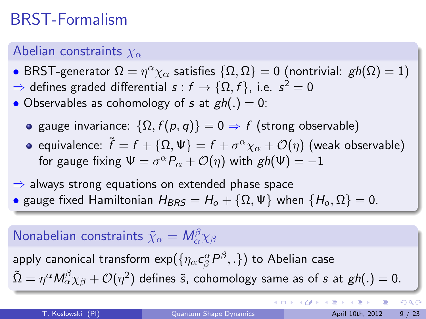## BRST-Formalism

### Abelian constraints  $\chi_{\alpha}$

• BRST-generator  $\Omega=\eta^\alpha \chi_\alpha$  satisfies  $\{\Omega,\Omega\}=0$  (nontrivial:  $\mathit{gh}(\Omega)=1)$  $\Rightarrow$  defines graded differential  $s:f\to \{\Omega,f\},$  i.e.  $s^2=0$ 

• Observables as cohomology of s at  $gh(.) = 0$ :

- gauge invariance:  $\{\Omega, f(p,q)\} = 0 \Rightarrow f$  (strong observable)
- equivalence:  $\widetilde{f}=f+\{\Omega,\Psi\}=f+\sigma^{\alpha}\chi_{\alpha}+{\cal O}(\eta)$  (weak observable) for gauge fixing  $\Psi = \sigma^{\alpha} P_{\alpha} + \mathcal{O}(\eta)$  with  $\textit{gh}(\Psi) = -1$

 $\Rightarrow$  always strong equations on extended phase space • gauge fixed Hamiltonian  $H_{BRS} = H_o + {\Omega, \Psi}$  when  $\{H_o, \Omega\} = 0$ .

## Nonabelian constraints  $\tilde{\chi}_\alpha = \mathsf{M}_\alpha^\beta \chi_\beta$

apply canonical transform  $\exp(\{\eta_\alpha c_\beta^\alpha P^\beta,.\})$  to Abelian case  $\tilde{\Omega}=\eta^{\alpha}M_{\alpha}^{\beta}\chi_{\beta}+\mathcal{O}(\eta^{2})$  defines  $\tilde{\bm{s}}$ , cohomology same as of  $\bm{s}$  at  $\bm{g}h(.)=0.$ 

 $\Omega$ 

イロト イ部 トメ ヨ トメ ヨト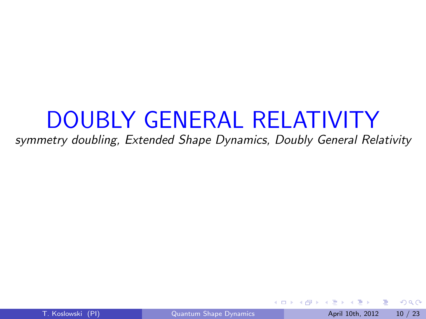# DOUBLY GENERAL RELATIVITY

#### symmetry doubling, Extended Shape Dynamics, Doubly General Relativity

4 0 8

÷

≔

<span id="page-9-0"></span> $\Omega$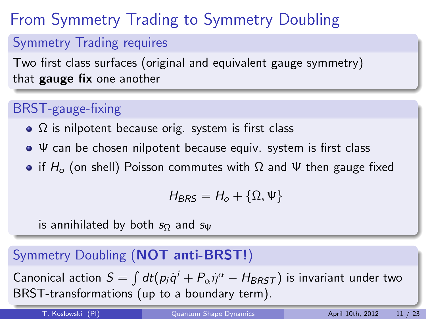# From Symmetry Trading to Symmetry Doubling

#### Symmetry Trading requires

Two first class surfaces (original and equivalent gauge symmetry) that gauge fix one another

## BRST-gauge-fixing

- $\Omega$  is nilpotent because orig. system is first class
- $\bullet \Psi$  can be chosen nilpotent because equiv. system is first class
- if  $H_0$  (on shell) Poisson commutes with  $\Omega$  and Ψ then gauge fixed

$$
H_{BRS}=H_o+\{\Omega,\Psi\}
$$

is annihilated by both  $s_{\Omega}$  and  $s_{\Psi}$ 

### Symmetry Doubling (NOT anti-BRST!)

Canonical action  $S = \int dt (p_i \dot{q}^i + P_\alpha \dot{\eta}^\alpha - H_{BRST})$  is invariant under two BRST-transformations (up to a boundary term)[.](#page-9-0)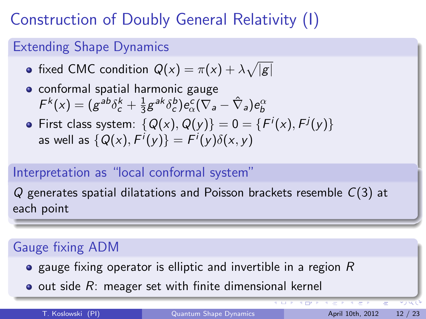## Construction of Doubly General Relativity (I)

#### Extending Shape Dynamics

- fixed CMC condition  $Q(x) = \pi(x) + \lambda \sqrt{|g|}$
- **•** conformal spatial harmonic gauge  $F^{k}(x) = (g^{ab}\delta_{c}^{k} + \frac{1}{3})$  $\frac{1}{3} g^{ak} \delta^b_c ) e^c_\alpha ( \nabla_a - \hat{\nabla}_a ) e^\alpha_b$
- First class system:  $\{Q(x),Q(y)\}=0=\{F^i(x),F^j(y)\}$ as well as  $\{Q(\mathsf{x}),\mathsf{F}^i(\mathsf{y})\}=\mathsf{F}^i(\mathsf{y})\delta(\mathsf{x},\mathsf{y})$

## Interpretation as "local conformal system"

 $Q$  generates spatial dilatations and Poisson brackets resemble  $C(3)$  at each point

## Gauge fixing ADM

- $\bullet$  gauge fixing operator is elliptic and invertible in a region R
- $\bullet$  out side  $R$ : meager set with finite dimensional kernel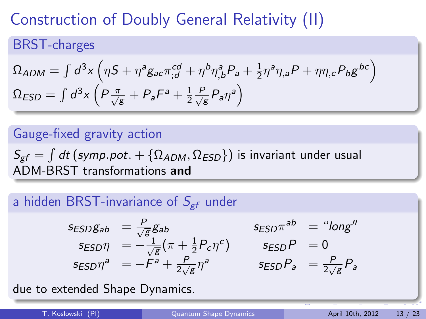## Construction of Doubly General Relativity (II)

### BRST-charges

$$
\Omega_{ADM} = \int d^3x \left( \eta S + \eta^a g_{ac} \pi_{;d}^{cd} + \eta^b \eta^a_{,b} P_a + \frac{1}{2} \eta^a \eta_{,a} P + \eta \eta_{,c} P_b g^{bc} \right)
$$
  

$$
\Omega_{ESD} = \int d^3x \left( P \frac{\pi}{\sqrt{g}} + P_a F^a + \frac{1}{2} \frac{P}{\sqrt{g}} P_a \eta^a \right)
$$

### Gauge-fixed gravity action

 $\mathcal{S}_{\text{\it gf}}=\int dt\left(\text{\it symp.pot.}+\{\Omega_{ADM},\Omega_{ESD}\}\right)$  is invariant under usual ADM-BRST transformations and

#### a hidden BRST-invariance of  $S_{\text{er}}$  under

$$
s_{ESD}g_{ab} = \frac{P}{\sqrt{g}}g_{ab} \qquad s_{ESD}\pi^{ab} = \text{``long''}
$$
  
\n
$$
s_{ESD}\eta = -\frac{1}{\sqrt{g}}(\pi + \frac{1}{2}P_c\eta^c) \qquad s_{ESD}P = 0
$$
  
\n
$$
s_{ESD}\eta^a = -F^a + \frac{P}{2\sqrt{g}}\eta^a \qquad s_{ESD}P_a = \frac{P}{2\sqrt{g}}P_a
$$

due to extended Shape Dynamics.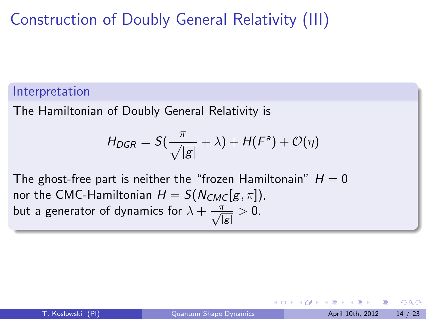## Construction of Doubly General Relativity (III)

#### Interpretation

The Hamiltonian of Doubly General Relativity is

$$
H_{DGR} = S(\frac{\pi}{\sqrt{|g|}} + \lambda) + H(F^a) + \mathcal{O}(\eta)
$$

The ghost-free part is neither the "frozen Hamiltonain"  $H = 0$ nor the CMC-Hamiltonian  $H = S(N_{CMC}[g, \pi]),$ but a generator of dynamics for  $\lambda + \frac{\pi}{\sqrt{|g|}} > 0$ .

 $200$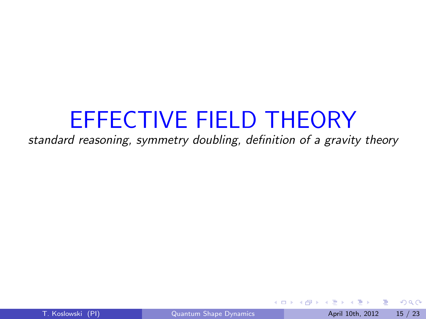# EFFECTIVE FIELD THEORY

standard reasoning, symmetry doubling, definition of a gravity theory

4 0 8

÷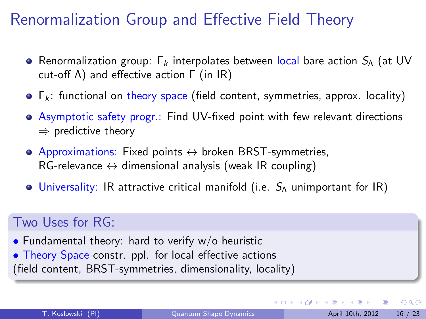## Renormalization Group and Effective Field Theory

- **Renormalization group:** Γ<sub>k</sub> interpolates between local bare action  $S_\Lambda$  (at UV cut-off Λ) and effective action Γ (in IR)
- $\bullet$   $\Gamma_k$ : functional on theory space (field content, symmetries, approx. locality)
- Asymptotic safety progr.: Find UV-fixed point with few relevant directions  $\Rightarrow$  predictive theory
- $\bullet$  Approximations: Fixed points  $\leftrightarrow$  broken BRST-symmetries,  $RG$ -relevance  $\leftrightarrow$  dimensional analysis (weak IR coupling)
- $\bullet$  Universality: IR attractive critical manifold (i.e.  $S_{\Lambda}$  unimportant for IR)

#### Two Uses for RG:

• Fundamental theory: hard to verify  $w/o$  heuristic • Theory Space constr. ppl. for local effective actions

(field content, BRST-symmetries, dimensionality, locality)

 $QQ$ 

 $\left\{ \begin{array}{ccc} 1 & 0 & 0 \\ 0 & 1 & 0 \end{array} \right.$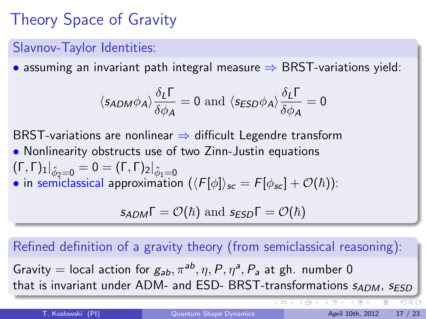# Theory Space of Gravity

#### Slavnov-Taylor Identities:

• assuming an invariant path integral measure  $\Rightarrow$  BRST-variations yield:

$$
\langle s_{ADM} \phi_A \rangle \frac{\delta_L \Gamma}{\delta \phi_A} = 0 \text{ and } \langle s_{ESD} \phi_A \rangle \frac{\delta_L \Gamma}{\delta \phi_A} = 0
$$

BRST-variations are nonlinear  $\Rightarrow$  difficult Legendre transform

- Nonlinearity obstructs use of two Zinn-Justin equations  $(\Gamma, \Gamma)_{1}|_{\hat{\phi}_{2}=0} = 0 = (\Gamma, \Gamma)_{2}|_{\hat{\phi}_{1}=0}$
- in semiclassical approximation  $(\langle F[\phi] \rangle_{sc} = F[\phi_{sc}] + \mathcal{O}(\hbar))$ :

$$
s_{ADM}\Gamma=\mathcal{O}(\hbar)\text{ and }s_{ESD}\Gamma=\mathcal{O}(\hbar)
$$

#### Refined definition of a gravity theory (from semiclassical reasoning):

Gravity  $=$  local action for  $g_{ab}, \pi^{ab}, \eta, P, \eta^a, P_a$  at gh. number 0 that is invariant under ADM- and ESD- BRST-transformations  $s_{ADM}$ ,  $s_{ESD}$ 

 $\leftarrow$ 

4 同 下

 $4190$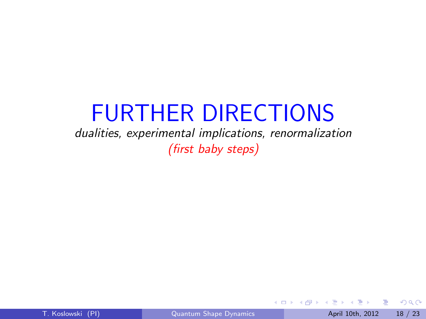# FURTHER DIRECTIONS

dualities, experimental implications, renormalization (first baby steps)

画

 $QQ$ 

 $\sim$  $\rightarrow$   $\pm$ 

4 0 8

●▶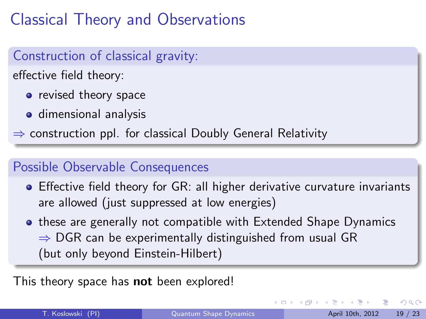## Classical Theory and Observations

#### Construction of classical gravity:

effective field theory:

- revised theory space
- **o** dimensional analysis

 $\Rightarrow$  construction ppl. for classical Doubly General Relativity

#### Possible Observable Consequences

- Effective field theory for GR: all higher derivative curvature invariants are allowed (just suppressed at low energies)
- **these are generally not compatible with Extended Shape Dynamics**  $\Rightarrow$  DGR can be experimentally distinguished from usual GR (but only beyond Einstein-Hilbert)

This theory space has **not** been explored!

 $\Omega$ 

イロト イ押ト イヨト イヨト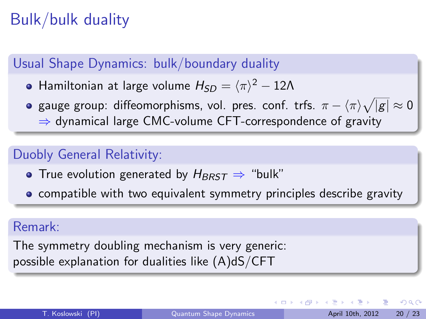## Bulk/bulk duality

#### Usual Shape Dynamics: bulk/boundary duality

- Hamiltonian at large volume  $H_{SD} = \langle \pi \rangle^2 12 \Lambda$
- gauge group: diffeomorphisms, vol. pres. conf. trfs.  $\pi \langle \pi \rangle \sqrt{|g|} \approx 0$ ⇒ dynamical large CMC-volume CFT-correspondence of gravity

#### Duobly General Relativity:

- True evolution generated by  $H_{BRST} \Rightarrow$  "bulk"
- **compatible with two equivalent symmetry principles describe gravity**

#### Remark:

The symmetry doubling mechanism is very generic: possible explanation for dualities like  $(A)dS/CFT$ 

 $QQ$ 

 $\left\{ \begin{array}{ccc} 1 & 0 & 0 \\ 0 & 1 & 0 \end{array} \right.$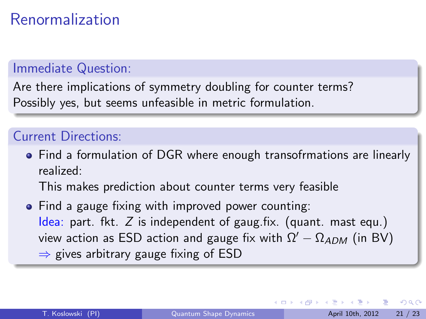## Renormalization

#### Immediate Question:

Are there implications of symmetry doubling for counter terms? Possibly yes, but seems unfeasible in metric formulation.

#### Current Directions:

• Find a formulation of DGR where enough transofrmations are linearly realized:

This makes prediction about counter terms very feasible

• Find a gauge fixing with improved power counting: Idea: part. fkt. Z is independent of gaug.fix. (quant. mast equ.) view action as ESD action and gauge fix with  $\Omega' - \Omega_{ADM}$  (in BV)  $\Rightarrow$  gives arbitrary gauge fixing of ESD

 $QQ$ 

イロト イ押ト イヨト イヨト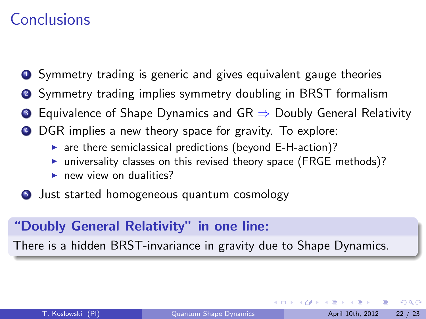## Conclusions

- **1** Symmetry trading is generic and gives equivalent gauge theories
- <sup>2</sup> Symmetry trading implies symmetry doubling in BRST formalism
- Equivalence of Shape Dynamics and GR  $\Rightarrow$  Doubly General Relativity
- DGR implies a new theory space for gravity. To explore:
	- $\triangleright$  are there semiclassical predictions (beyond E-H-action)?
	- $\triangleright$  universality classes on this revised theory space (FRGE methods)?
	- $\triangleright$  new view on dualities?
- **5** Just started homogeneous quantum cosmology

#### "Doubly General Relativity" in one line:

There is a hidden BRST-invariance in gravity due to Shape Dynamics.

 $\Omega$ 

**The South Book**